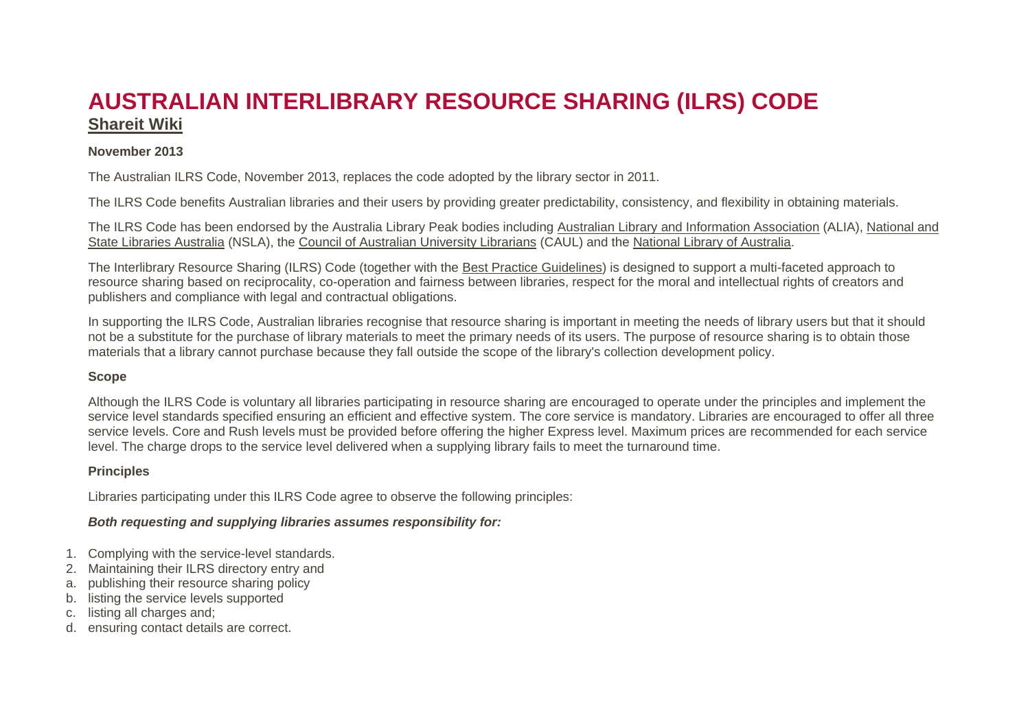# **AUSTRALIAN INTERLIBRARY RESOURCE SHARING (ILRS) CODE [Shareit Wiki](http://shareit.wikis.alia.org.au/Home)**

### **November 2013**

The Australian ILRS Code, November 2013, replaces the code adopted by the library sector in 2011.

The ILRS Code benefits Australian libraries and their users by providing greater predictability, consistency, and flexibility in obtaining materials.

The ILRS Code has been endorsed by the Australia Library Peak bodies including [Australian Library and Information Association](http://www.alia.org.au/) (ALIA), [National and](http://www.nsla.org.au/)  [State Libraries Australia](http://www.nsla.org.au/) (NSLA), the [Council of Australian University Librarians](http://www.caul.edu.au/) (CAUL) and the [National Library of Australia.](http://www.nla.gov.au/)

The Interlibrary Resource Sharing (ILRS) Code (together with the [Best Practice Guidelines\)](https://www.alia.org.au/interlibrary-resource-sharing-best-practice-guidelines) is designed to support a multi-faceted approach to resource sharing based on reciprocality, co-operation and fairness between libraries, respect for the moral and intellectual rights of creators and publishers and compliance with legal and contractual obligations.

In supporting the ILRS Code, Australian libraries recognise that resource sharing is important in meeting the needs of library users but that it should not be a substitute for the purchase of library materials to meet the primary needs of its users. The purpose of resource sharing is to obtain those materials that a library cannot purchase because they fall outside the scope of the library's collection development policy.

#### **Scope**

Although the ILRS Code is voluntary all libraries participating in resource sharing are encouraged to operate under the principles and implement the service level standards specified ensuring an efficient and effective system. The core service is mandatory. Libraries are encouraged to offer all three service levels. Core and Rush levels must be provided before offering the higher Express level. Maximum prices are recommended for each service level. The charge drops to the service level delivered when a supplying library fails to meet the turnaround time.

#### **Principles**

Libraries participating under this ILRS Code agree to observe the following principles:

### *Both requesting and supplying libraries assumes responsibility for:*

- 1. Complying with the service-level standards.
- 2. Maintaining their ILRS directory entry and
- a. publishing their resource sharing policy
- b. listing the service levels supported
- c. listing all charges and;
- d. ensuring contact details are correct.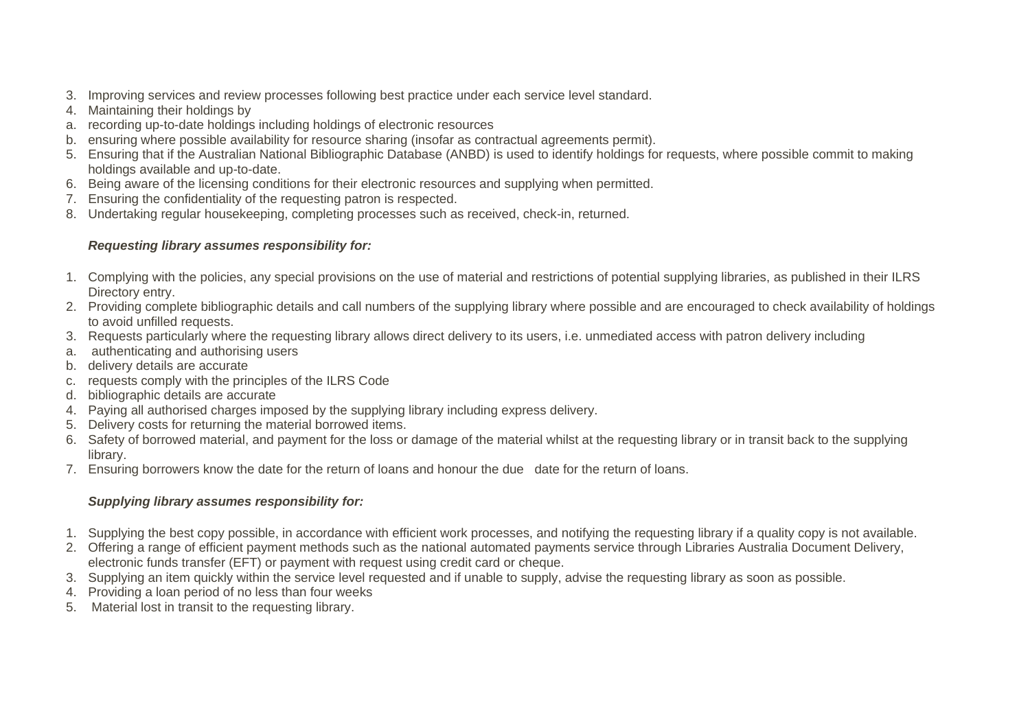- 3. Improving services and review processes following best practice under each service level standard.
- 4. Maintaining their holdings by
- a. recording up-to-date holdings including holdings of electronic resources
- b. ensuring where possible availability for resource sharing (insofar as contractual agreements permit).
- 5. Ensuring that if the Australian National Bibliographic Database (ANBD) is used to identify holdings for requests, where possible commit to making holdings available and up-to-date.
- 6. Being aware of the licensing conditions for their electronic resources and supplying when permitted.
- 7. Ensuring the confidentiality of the requesting patron is respected.
- 8. Undertaking regular housekeeping, completing processes such as received, check-in, returned.

# *Requesting library assumes responsibility for:*

- 1. Complying with the policies, any special provisions on the use of material and restrictions of potential supplying libraries, as published in their ILRS Directory entry.
- 2. Providing complete bibliographic details and call numbers of the supplying library where possible and are encouraged to check availability of holdings to avoid unfilled requests.
- 3. Requests particularly where the requesting library allows direct delivery to its users, i.e. unmediated access with patron delivery including
- a. authenticating and authorising users
- b. delivery details are accurate
- c. requests comply with the principles of the ILRS Code
- d. bibliographic details are accurate
- 4. Paying all authorised charges imposed by the supplying library including express delivery.
- 5. Delivery costs for returning the material borrowed items.
- 6. Safety of borrowed material, and payment for the loss or damage of the material whilst at the requesting library or in transit back to the supplying library.
- 7. Ensuring borrowers know the date for the return of loans and honour the due date for the return of loans.

# *Supplying library assumes responsibility for:*

- 1. Supplying the best copy possible, in accordance with efficient work processes, and notifying the requesting library if a quality copy is not available.
- 2. Offering a range of efficient payment methods such as the national automated payments service through Libraries Australia Document Delivery, electronic funds transfer (EFT) or payment with request using credit card or cheque.
- 3. Supplying an item quickly within the service level requested and if unable to supply, advise the requesting library as soon as possible.
- 4. Providing a loan period of no less than four weeks
- 5. Material lost in transit to the requesting library.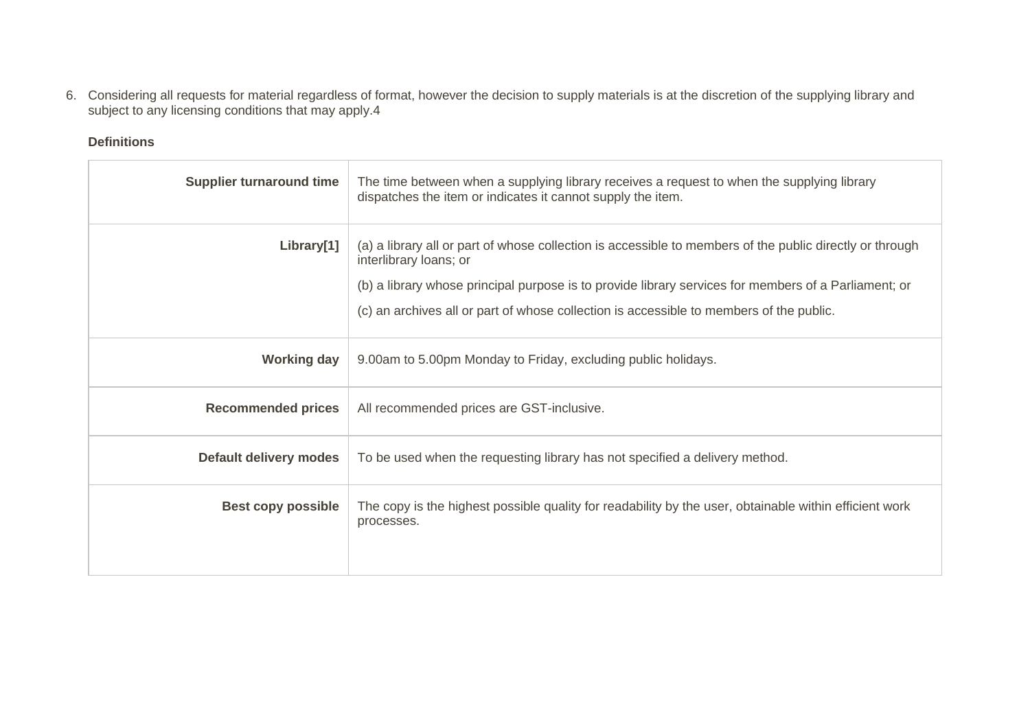6. Considering all requests for material regardless of format, however the decision to supply materials is at the discretion of the supplying library and subject to any licensing conditions that may apply.4

## **Definitions**

| <b>Supplier turnaround time</b> | The time between when a supplying library receives a request to when the supplying library<br>dispatches the item or indicates it cannot supply the item.                                                                                                                                                                             |  |  |
|---------------------------------|---------------------------------------------------------------------------------------------------------------------------------------------------------------------------------------------------------------------------------------------------------------------------------------------------------------------------------------|--|--|
| Library[1]                      | (a) a library all or part of whose collection is accessible to members of the public directly or through<br>interlibrary loans; or<br>(b) a library whose principal purpose is to provide library services for members of a Parliament; or<br>(c) an archives all or part of whose collection is accessible to members of the public. |  |  |
| <b>Working day</b>              | 9.00am to 5.00pm Monday to Friday, excluding public holidays.                                                                                                                                                                                                                                                                         |  |  |
| <b>Recommended prices</b>       | All recommended prices are GST-inclusive.                                                                                                                                                                                                                                                                                             |  |  |
| <b>Default delivery modes</b>   | To be used when the requesting library has not specified a delivery method.                                                                                                                                                                                                                                                           |  |  |
| <b>Best copy possible</b>       | The copy is the highest possible quality for readability by the user, obtainable within efficient work<br>processes.                                                                                                                                                                                                                  |  |  |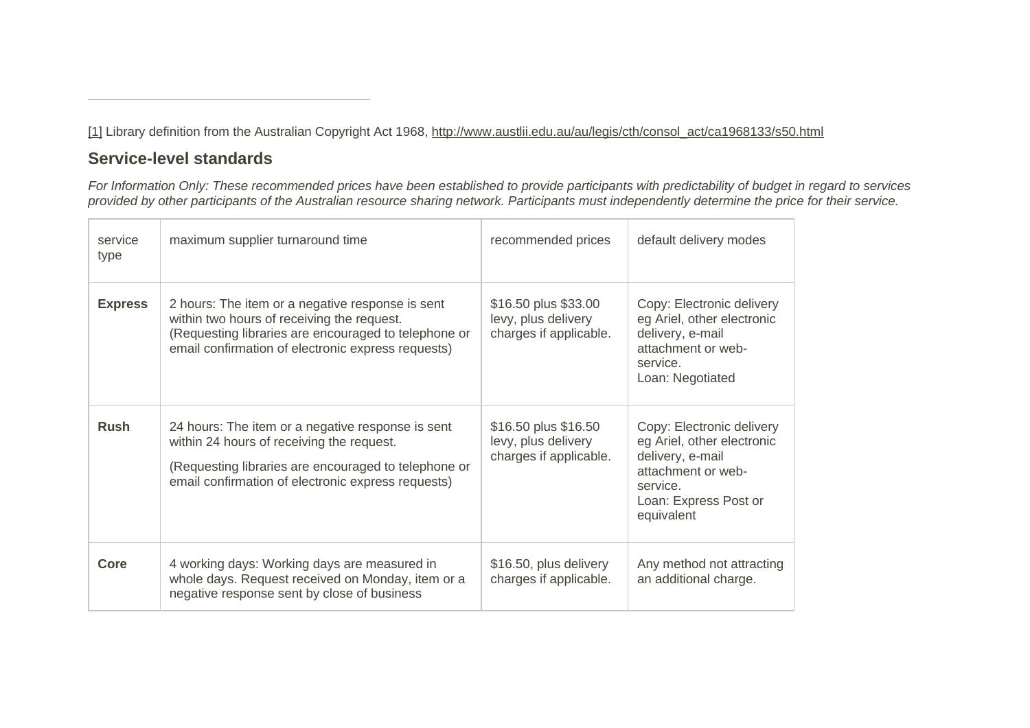[\[1\]](https://www.alia.org.au/node/744/revisions/39911/view#_ftnref1) Library definition from the Australian Copyright Act 1968, [http://www.austlii.edu.au/au/legis/cth/consol\\_act/ca1968133/s50.html](http://www.austlii.edu.au/au/legis/cth/consol_act/ca1968133/s50.html)

# **Service-level standards**

*For Information Only: These recommended prices have been established to provide participants with predictability of budget in regard to services provided by other participants of the Australian resource sharing network. Participants must independently determine the price for their service.*

| service<br>type | maximum supplier turnaround time                                                                                                                                                                             | recommended prices                                                    | default delivery modes                                                                                                                               |  |
|-----------------|--------------------------------------------------------------------------------------------------------------------------------------------------------------------------------------------------------------|-----------------------------------------------------------------------|------------------------------------------------------------------------------------------------------------------------------------------------------|--|
| <b>Express</b>  | 2 hours: The item or a negative response is sent<br>within two hours of receiving the request.<br>(Requesting libraries are encouraged to telephone or<br>email confirmation of electronic express requests) | \$16.50 plus \$33.00<br>levy, plus delivery<br>charges if applicable. | Copy: Electronic delivery<br>eg Ariel, other electronic<br>delivery, e-mail<br>attachment or web-<br>service.<br>Loan: Negotiated                    |  |
| <b>Rush</b>     | 24 hours: The item or a negative response is sent<br>within 24 hours of receiving the request.<br>(Requesting libraries are encouraged to telephone or<br>email confirmation of electronic express requests) | \$16.50 plus \$16.50<br>levy, plus delivery<br>charges if applicable. | Copy: Electronic delivery<br>eg Ariel, other electronic<br>delivery, e-mail<br>attachment or web-<br>service.<br>Loan: Express Post or<br>equivalent |  |
| Core            | 4 working days: Working days are measured in<br>whole days. Request received on Monday, item or a<br>negative response sent by close of business                                                             | \$16.50, plus delivery<br>charges if applicable.                      | Any method not attracting<br>an additional charge.                                                                                                   |  |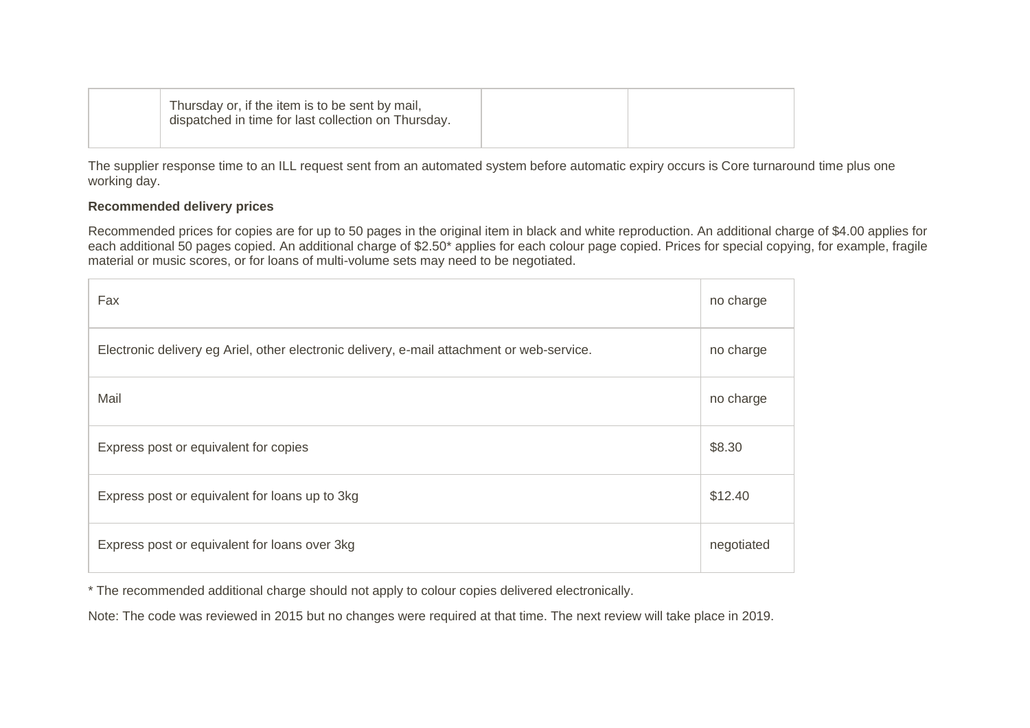|  | Thursday or, if the item is to be sent by mail,<br>dispatched in time for last collection on Thursday. |  |
|--|--------------------------------------------------------------------------------------------------------|--|
|  |                                                                                                        |  |

The supplier response time to an ILL request sent from an automated system before automatic expiry occurs is Core turnaround time plus one working day.

### **Recommended delivery prices**

Recommended prices for copies are for up to 50 pages in the original item in black and white reproduction. An additional charge of \$4.00 applies for each additional 50 pages copied. An additional charge of \$2.50\* applies for each colour page copied. Prices for special copying, for example, fragile material or music scores, or for loans of multi-volume sets may need to be negotiated.

| Fax                                                                                        | no charge  |
|--------------------------------------------------------------------------------------------|------------|
| Electronic delivery eg Ariel, other electronic delivery, e-mail attachment or web-service. | no charge  |
| Mail                                                                                       | no charge  |
| Express post or equivalent for copies                                                      | \$8.30     |
| Express post or equivalent for loans up to 3kg                                             |            |
| Express post or equivalent for loans over 3kg                                              | negotiated |

\* The recommended additional charge should not apply to colour copies delivered electronically.

Note: The code was reviewed in 2015 but no changes were required at that time. The next review will take place in 2019.